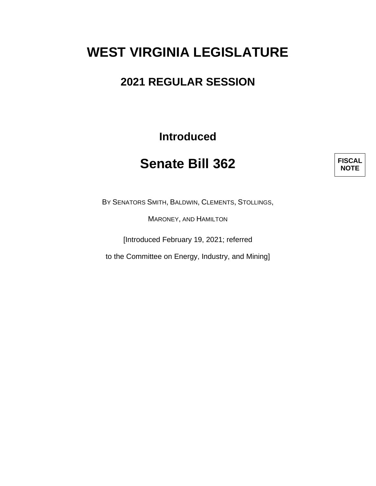# **WEST VIRGINIA LEGISLATURE**

### **2021 REGULAR SESSION**

**Introduced**

## **Senate Bill 362**



BY SENATORS SMITH, BALDWIN, CLEMENTS, STOLLINGS,

MARONEY, AND HAMILTON

[Introduced February 19, 2021; referred

to the Committee on Energy, Industry, and Mining]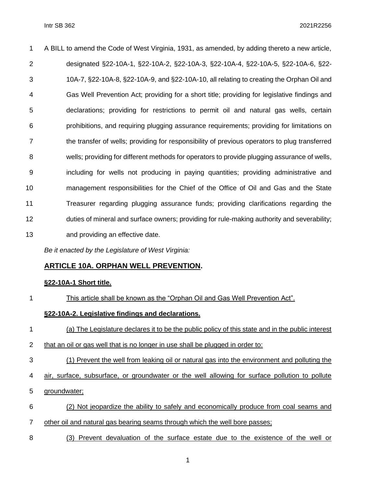| 1  | A BILL to amend the Code of West Virginia, 1931, as amended, by adding thereto a new article, |
|----|-----------------------------------------------------------------------------------------------|
| 2  | designated §22-10A-1, §22-10A-2, §22-10A-3, §22-10A-4, §22-10A-5, §22-10A-6, §22-             |
| 3  | 10A-7, §22-10A-8, §22-10A-9, and §22-10A-10, all relating to creating the Orphan Oil and      |
| 4  | Gas Well Prevention Act; providing for a short title; providing for legislative findings and  |
| 5  | declarations; providing for restrictions to permit oil and natural gas wells, certain         |
| 6  | prohibitions, and requiring plugging assurance requirements; providing for limitations on     |
| 7  | the transfer of wells; providing for responsibility of previous operators to plug transferred |
| 8  | wells; providing for different methods for operators to provide plugging assurance of wells,  |
| 9  | including for wells not producing in paying quantities; providing administrative and          |
| 10 | management responsibilities for the Chief of the Office of Oil and Gas and the State          |
| 11 | Treasurer regarding plugging assurance funds; providing clarifications regarding the          |
| 12 | duties of mineral and surface owners; providing for rule-making authority and severability;   |
| 13 | and providing an effective date.                                                              |

*Be it enacted by the Legislature of West Virginia:*

#### **ARTICLE 10A. ORPHAN WELL PREVENTION.**

#### **§22-10A-1 Short title.**

This article shall be known as the "Orphan Oil and Gas Well Prevention Act".

#### **§22-10A-2. Legislative findings and declarations.**

- (a) The Legislature declares it to be the public policy of this state and in the public interest
- that an oil or gas well that is no longer in use shall be plugged in order to:
- (1) Prevent the well from leaking oil or natural gas into the environment and polluting the
- air, surface, subsurface, or groundwater or the well allowing for surface pollution to pollute
- groundwater;
- (2) Not jeopardize the ability to safely and economically produce from coal seams and
- other oil and natural gas bearing seams through which the well bore passes;
- (3) Prevent devaluation of the surface estate due to the existence of the well or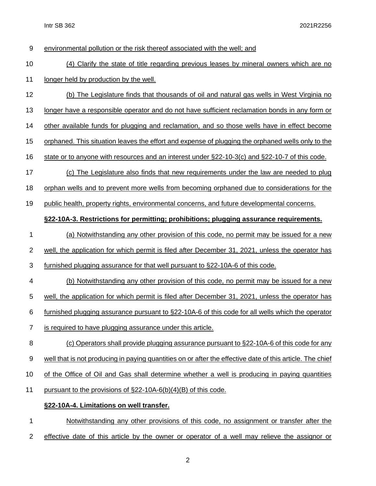Intr SB 362 2021R2256

| $9\,$          | environmental pollution or the risk thereof associated with the well; and                                 |
|----------------|-----------------------------------------------------------------------------------------------------------|
| 10             | (4) Clarify the state of title regarding previous leases by mineral owners which are no                   |
| 11             | longer held by production by the well.                                                                    |
| 12             | (b) The Legislature finds that thousands of oil and natural gas wells in West Virginia no                 |
| 13             | longer have a responsible operator and do not have sufficient reclamation bonds in any form or            |
| 14             | other available funds for plugging and reclamation, and so those wells have in effect become              |
| 15             | orphaned. This situation leaves the effort and expense of plugging the orphaned wells only to the         |
| 16             | state or to anyone with resources and an interest under §22-10-3(c) and §22-10-7 of this code.            |
| 17             | (c) The Legislature also finds that new requirements under the law are needed to plug                     |
| 18             | orphan wells and to prevent more wells from becoming orphaned due to considerations for the               |
| 19             | public health, property rights, environmental concerns, and future developmental concerns.                |
|                | §22-10A-3. Restrictions for permitting; prohibitions; plugging assurance requirements.                    |
| 1              | (a) Notwithstanding any other provision of this code, no permit may be issued for a new                   |
| $\overline{2}$ | well, the application for which permit is filed after December 31, 2021, unless the operator has          |
| 3              | furnished plugging assurance for that well pursuant to §22-10A-6 of this code.                            |
| 4              | (b) Notwithstanding any other provision of this code, no permit may be issued for a new                   |
| 5              | well, the application for which permit is filed after December 31, 2021, unless the operator has          |
| 6              | furnished plugging assurance pursuant to §22-10A-6 of this code for all wells which the operator          |
| 7              | is required to have plugging assurance under this article.                                                |
| 8              | (c) Operators shall provide plugging assurance pursuant to §22-10A-6 of this code for any                 |
| 9              | well that is not producing in paying quantities on or after the effective date of this article. The chief |
| 10             | of the Office of Oil and Gas shall determine whether a well is producing in paying quantities             |
| 11             | pursuant to the provisions of $\S22-10A-6(b)(4)(B)$ of this code.                                         |
|                | §22-10A-4. Limitations on well transfer.                                                                  |
| 1              | Notwithstanding any other provisions of this code, no assignment or transfer after the                    |

2 effective date of this article by the owner or operator of a well may relieve the assignor or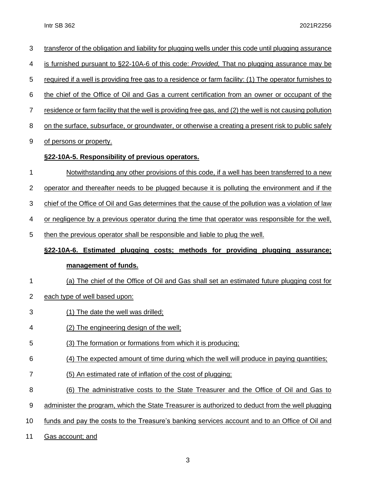| 3              | transferor of the obligation and liability for plugging wells under this code until plugging assurance           |
|----------------|------------------------------------------------------------------------------------------------------------------|
| 4              | is furnished pursuant to §22-10A-6 of this code: Provided, That no plugging assurance may be                     |
| 5              | required if a well is providing free gas to a residence or farm facility: (1) The operator furnishes to          |
| 6              | the chief of the Office of Oil and Gas a current certification from an owner or occupant of the                  |
| $\overline{7}$ | <u>residence or farm facility that the well is providing free gas, and (2) the well is not causing pollution</u> |
| 8              | on the surface, subsurface, or groundwater, or otherwise a creating a present risk to public safely              |
| 9              | of persons or property.                                                                                          |
|                | §22-10A-5. Responsibility of previous operators.                                                                 |
| 1              | Notwithstanding any other provisions of this code, if a well has been transferred to a new                       |
| $\mathbf 2$    | operator and thereafter needs to be plugged because it is polluting the environment and if the                   |
| 3              | chief of the Office of Oil and Gas determines that the cause of the pollution was a violation of law             |
| 4              | or negligence by a previous operator during the time that operator was responsible for the well,                 |
| 5              | then the previous operator shall be responsible and liable to plug the well.                                     |
|                |                                                                                                                  |
|                | <u>§22-10A-6. Estimated plugging costs; methods for providing plugging assurance;</u>                            |
|                | management of funds.                                                                                             |
| 1              | (a) The chief of the Office of Oil and Gas shall set an estimated future plugging cost for                       |
| $\overline{2}$ | each type of well based upon:                                                                                    |
| 3              | (1) The date the well was drilled;                                                                               |
| 4              | (2) The engineering design of the well;                                                                          |
| 5              | (3) The formation or formations from which it is producing:                                                      |
| 6              | (4) The expected amount of time during which the well will produce in paying quantities;                         |
| 7              | (5) An estimated rate of inflation of the cost of plugging;                                                      |
| 8              | (6) The administrative costs to the State Treasurer and the Office of Oil and Gas to                             |
| 9              | administer the program, which the State Treasurer is authorized to deduct from the well plugging                 |
| 10             | funds and pay the costs to the Treasure's banking services account and to an Office of Oil and                   |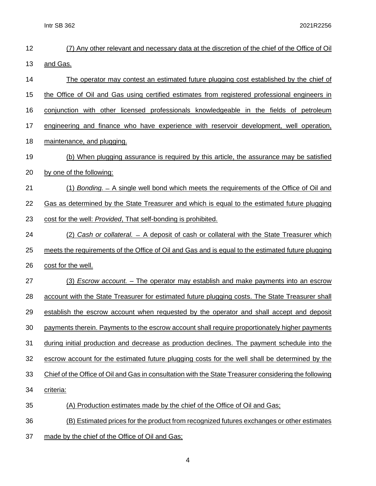Intr SB 362 2021R2256

| 12 | (7) Any other relevant and necessary data at the discretion of the chief of the Office of Oil         |
|----|-------------------------------------------------------------------------------------------------------|
| 13 | and Gas.                                                                                              |
| 14 | The operator may contest an estimated future plugging cost established by the chief of                |
| 15 | the Office of Oil and Gas using certified estimates from registered professional engineers in         |
| 16 | conjunction with other licensed professionals knowledgeable in the fields of petroleum                |
| 17 | engineering and finance who have experience with reservoir development, well operation,               |
| 18 | maintenance, and plugging.                                                                            |
| 19 | (b) When plugging assurance is required by this article, the assurance may be satisfied               |
| 20 | by one of the following:                                                                              |
| 21 | (1) Bonding. - A single well bond which meets the requirements of the Office of Oil and               |
| 22 | Gas as determined by the State Treasurer and which is equal to the estimated future plugging          |
| 23 | cost for the well: Provided, That self-bonding is prohibited.                                         |
| 24 | (2) Cash or collateral. - A deposit of cash or collateral with the State Treasurer which              |
| 25 | meets the requirements of the Office of Oil and Gas and is equal to the estimated future plugging     |
| 26 | cost for the well.                                                                                    |
| 27 | (3) Escrow account. – The operator may establish and make payments into an escrow                     |
| 28 | account with the State Treasurer for estimated future plugging costs. The State Treasurer shall       |
| 29 | establish the escrow account when requested by the operator and shall accept and deposit              |
| 30 | payments therein. Payments to the escrow account shall require proportionately higher payments        |
| 31 | during initial production and decrease as production declines. The payment schedule into the          |
| 32 | escrow account for the estimated future plugging costs for the well shall be determined by the        |
| 33 | Chief of the Office of Oil and Gas in consultation with the State Treasurer considering the following |
| 34 | criteria:                                                                                             |
| 35 | (A) Production estimates made by the chief of the Office of Oil and Gas;                              |
| 36 | (B) Estimated prices for the product from recognized futures exchanges or other estimates             |
| 37 | made by the chief of the Office of Oil and Gas;                                                       |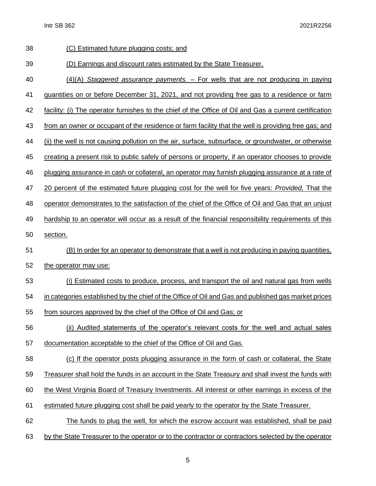| 38 | (C) Estimated future plugging costs; and                                                                 |
|----|----------------------------------------------------------------------------------------------------------|
| 39 | (D) Earnings and discount rates estimated by the State Treasurer.                                        |
| 40 | $(4)(A)$ Staggered assurance payments. $-$ For wells that are not producing in paying                    |
| 41 | guantities on or before December 31, 2021, and not providing free gas to a residence or farm             |
| 42 | facility: (i) The operator furnishes to the chief of the Office of Oil and Gas a current certification   |
| 43 | from an owner or occupant of the residence or farm facility that the well is providing free gas; and     |
| 44 | (ii) the well is not causing pollution on the air, surface, subsurface, or groundwater, or otherwise     |
| 45 | creating a present risk to public safely of persons or property, if an operator chooses to provide       |
| 46 | plugging assurance in cash or collateral, an operator may furnish plugging assurance at a rate of        |
| 47 | 20 percent of the estimated future plugging cost for the well for five years: <i>Provided</i> , That the |
| 48 | operator demonstrates to the satisfaction of the chief of the Office of Oil and Gas that an unjust       |
| 49 | hardship to an operator will occur as a result of the financial responsibility requirements of this      |
| 50 | section.                                                                                                 |
| 51 | (B) In order for an operator to demonstrate that a well is not producing in paying quantities,           |
| 52 | the operator may use:                                                                                    |
| 53 | (i) Estimated costs to produce, process, and transport the oil and natural gas from wells                |
| 54 | in categories established by the chief of the Office of Oil and Gas and published gas market prices      |
| 55 | from sources approved by the chief of the Office of Oil and Gas; or                                      |
| 56 | (ii) Audited statements of the operator's relevant costs for the well and actual sales                   |
| 57 | documentation acceptable to the chief of the Office of Oil and Gas.                                      |
| 58 | (c) If the operator posts plugging assurance in the form of cash or collateral, the State                |
| 59 | Treasurer shall hold the funds in an account in the State Treasury and shall invest the funds with       |
| 60 | the West Virginia Board of Treasury Investments. All interest or other earnings in excess of the         |
| 61 | estimated future plugging cost shall be paid yearly to the operator by the State Treasurer.              |
| 62 | The funds to plug the well, for which the escrow account was established, shall be paid                  |
| 63 | by the State Treasurer to the operator or to the contractor or contractors selected by the operator      |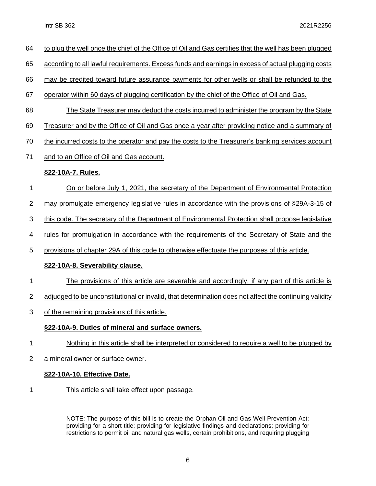- to plug the well once the chief of the Office of Oil and Gas certifies that the well has been plugged
- according to all lawful requirements. Excess funds and earnings in excess of actual plugging costs

may be credited toward future assurance payments for other wells or shall be refunded to the

- operator within 60 days of plugging certification by the chief of the Office of Oil and Gas.
- The State Treasurer may deduct the costs incurred to administer the program by the State
- Treasurer and by the Office of Oil and Gas once a year after providing notice and a summary of
- the incurred costs to the operator and pay the costs to the Treasurer's banking services account
- and to an Office of Oil and Gas account.

#### **§22-10A-7. Rules.**

- On or before July 1, 2021, the secretary of the Department of Environmental Protection
- may promulgate emergency legislative rules in accordance with the provisions of §29A-3-15 of
- this code. The secretary of the Department of Environmental Protection shall propose legislative
- rules for promulgation in accordance with the requirements of the Secretary of State and the
- provisions of chapter 29A of this code to otherwise effectuate the purposes of this article.

#### **§22-10A-8. Severability clause.**

- The provisions of this article are severable and accordingly, if any part of this article is
- 2 adjudged to be unconstitutional or invalid, that determination does not affect the continuing validity
- of the remaining provisions of this article.

#### **§22-10A-9. Duties of mineral and surface owners.**

- Nothing in this article shall be interpreted or considered to require a well to be plugged by
- 2 a mineral owner or surface owner.

#### **§22-10A-10. Effective Date.**

This article shall take effect upon passage.

NOTE: The purpose of this bill is to create the Orphan Oil and Gas Well Prevention Act; providing for a short title; providing for legislative findings and declarations; providing for restrictions to permit oil and natural gas wells, certain prohibitions, and requiring plugging